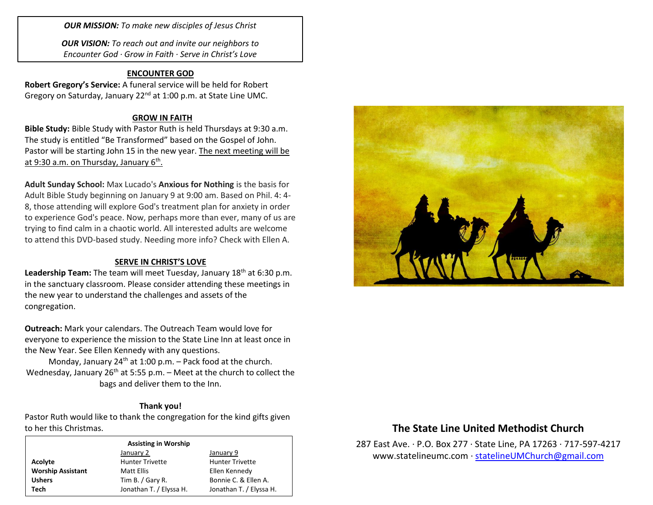*OUR MISSION: To make new disciples of Jesus Christ*

*OUR VISION: To reach out and invite our neighbors to Encounter God · Grow in Faith · Serve in Christ's Love*

## **ENCOUNTER GOD**

**Robert Gregory's Service:** A funeral service will be held for Robert Gregory on Saturday, January 22<sup>nd</sup> at 1:00 p.m. at State Line UMC.

## **GROW IN FAITH**

**Bible Study:** Bible Study with Pastor Ruth is held Thursdays at 9:30 a.m. The study is entitled "Be Transformed" based on the Gospel of John. Pastor will be starting John 15 in the new year. The next meeting will be at 9:30 a.m. on Thursday, January 6<sup>th</sup>.

**Adult Sunday School:** Max Lucado's **Anxious for Nothing** is the basis for Adult Bible Study beginning on January 9 at 9:00 am. Based on Phil. 4: 4- 8, those attending will explore God's treatment plan for anxiety in order to experience God's peace. Now, perhaps more than ever, many of us are trying to find calm in a chaotic world. All interested adults are welcome to attend this DVD-based study. Needing more info? Check with Ellen A.

## **SERVE IN CHRIST'S LOVE**

Leadership Team: The team will meet Tuesday, January 18<sup>th</sup> at 6:30 p.m. in the sanctuary classroom. Please consider attending these meetings in the new year to understand the challenges and assets of the congregation.

**Outreach:** Mark your calendars. The Outreach Team would love for everyone to experience the mission to the State Line Inn at least once in the New Year. See Ellen Kennedy with any questions.

Monday, January 24<sup>th</sup> at 1:00 p.m. – Pack food at the church. Wednesday, January 26<sup>th</sup> at 5:55 p.m. – Meet at the church to collect the bags and deliver them to the Inn.

#### **Thank you!**

Pastor Ruth would like to thank the congregation for the kind gifts given to her this Christmas.

| <b>Assisting in Worship</b> |                         |                                                                                            |  |  |
|-----------------------------|-------------------------|--------------------------------------------------------------------------------------------|--|--|
|                             | January 2               | January 9                                                                                  |  |  |
| Acolyte                     | <b>Hunter Trivette</b>  | <b>Hunter Trivette</b><br>Ellen Kennedy<br>Bonnie C. & Ellen A.<br>Jonathan T. / Elyssa H. |  |  |
| <b>Worship Assistant</b>    | Matt Ellis              |                                                                                            |  |  |
| <b>Ushers</b>               | Tim B. / Gary R.        |                                                                                            |  |  |
| Tech                        | Jonathan T. / Elyssa H. |                                                                                            |  |  |



# **The State Line United Methodist Church**

287 East Ave. · P.O. Box 277 · State Line, PA 17263 · 717-597-4217 [www.statelineumc.com](http://www.statelineumc.com/) · [statelineUMChurch@gmail.com](mailto:statelineUMChurch@gmail.com)